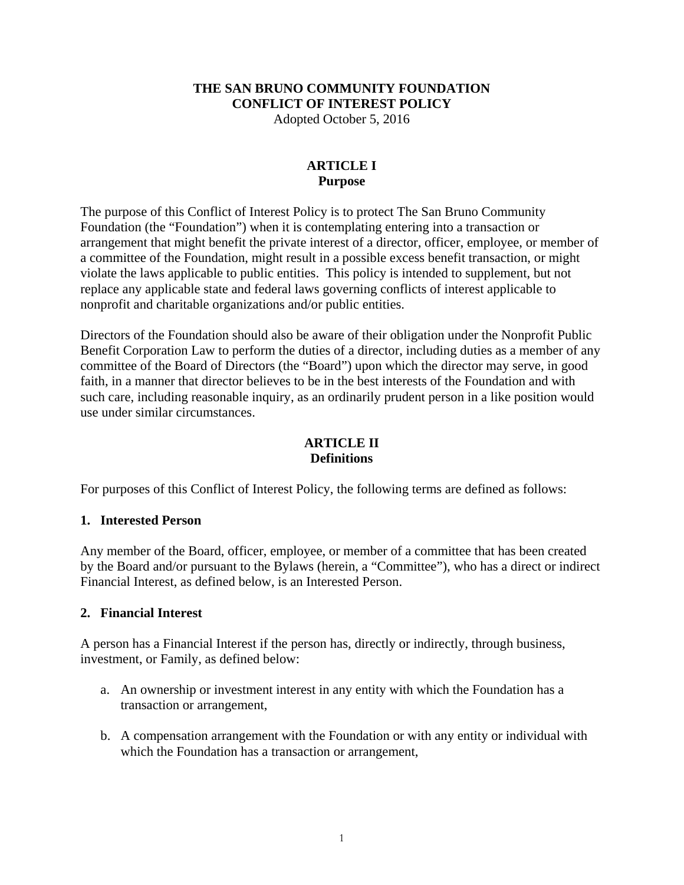## **THE SAN BRUNO COMMUNITY FOUNDATION CONFLICT OF INTEREST POLICY**

Adopted October 5, 2016

### **ARTICLE I Purpose**

The purpose of this Conflict of Interest Policy is to protect The San Bruno Community Foundation (the "Foundation") when it is contemplating entering into a transaction or arrangement that might benefit the private interest of a director, officer, employee, or member of a committee of the Foundation, might result in a possible excess benefit transaction, or might violate the laws applicable to public entities. This policy is intended to supplement, but not replace any applicable state and federal laws governing conflicts of interest applicable to nonprofit and charitable organizations and/or public entities.

Directors of the Foundation should also be aware of their obligation under the Nonprofit Public Benefit Corporation Law to perform the duties of a director, including duties as a member of any committee of the Board of Directors (the "Board") upon which the director may serve, in good faith, in a manner that director believes to be in the best interests of the Foundation and with such care, including reasonable inquiry, as an ordinarily prudent person in a like position would use under similar circumstances.

### **ARTICLE II Definitions**

For purposes of this Conflict of Interest Policy, the following terms are defined as follows:

### **1. Interested Person**

Any member of the Board, officer, employee, or member of a committee that has been created by the Board and/or pursuant to the Bylaws (herein, a "Committee"), who has a direct or indirect Financial Interest, as defined below, is an Interested Person.

### **2. Financial Interest**

A person has a Financial Interest if the person has, directly or indirectly, through business, investment, or Family, as defined below:

- a. An ownership or investment interest in any entity with which the Foundation has a transaction or arrangement,
- b. A compensation arrangement with the Foundation or with any entity or individual with which the Foundation has a transaction or arrangement.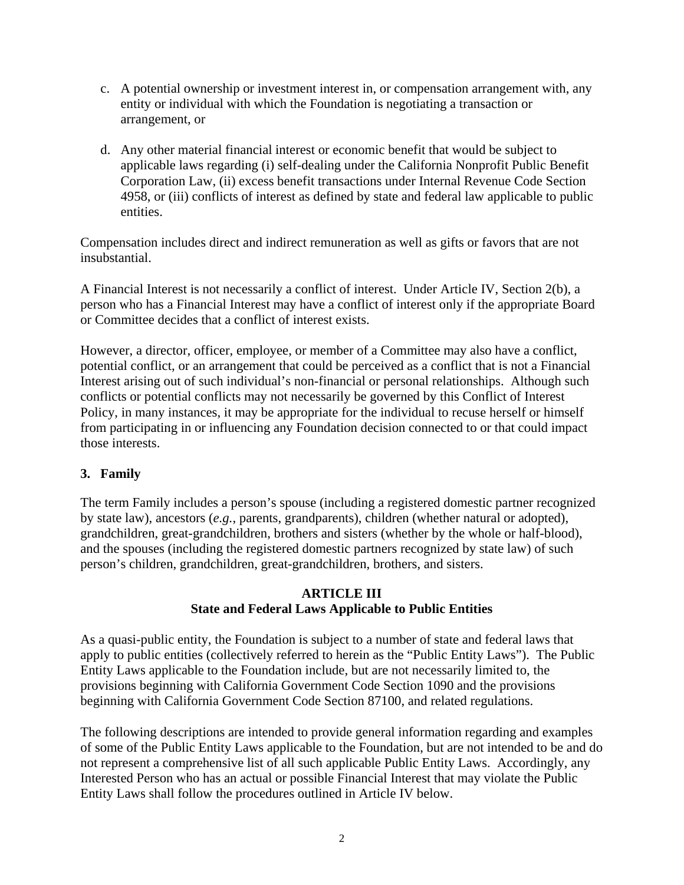- c. A potential ownership or investment interest in, or compensation arrangement with, any entity or individual with which the Foundation is negotiating a transaction or arrangement, or
- d. Any other material financial interest or economic benefit that would be subject to applicable laws regarding (i) self-dealing under the California Nonprofit Public Benefit Corporation Law, (ii) excess benefit transactions under Internal Revenue Code Section 4958, or (iii) conflicts of interest as defined by state and federal law applicable to public entities.

Compensation includes direct and indirect remuneration as well as gifts or favors that are not insubstantial.

A Financial Interest is not necessarily a conflict of interest. Under Article IV, Section 2(b), a person who has a Financial Interest may have a conflict of interest only if the appropriate Board or Committee decides that a conflict of interest exists.

However, a director, officer, employee, or member of a Committee may also have a conflict, potential conflict, or an arrangement that could be perceived as a conflict that is not a Financial Interest arising out of such individual's non-financial or personal relationships. Although such conflicts or potential conflicts may not necessarily be governed by this Conflict of Interest Policy, in many instances, it may be appropriate for the individual to recuse herself or himself from participating in or influencing any Foundation decision connected to or that could impact those interests.

# **3. Family**

The term Family includes a person's spouse (including a registered domestic partner recognized by state law), ancestors (*e.g.*, parents, grandparents), children (whether natural or adopted), grandchildren, great-grandchildren, brothers and sisters (whether by the whole or half-blood), and the spouses (including the registered domestic partners recognized by state law) of such person's children, grandchildren, great-grandchildren, brothers, and sisters.

### **ARTICLE III State and Federal Laws Applicable to Public Entities**

As a quasi-public entity, the Foundation is subject to a number of state and federal laws that apply to public entities (collectively referred to herein as the "Public Entity Laws"). The Public Entity Laws applicable to the Foundation include, but are not necessarily limited to, the provisions beginning with California Government Code Section 1090 and the provisions beginning with California Government Code Section 87100, and related regulations.

The following descriptions are intended to provide general information regarding and examples of some of the Public Entity Laws applicable to the Foundation, but are not intended to be and do not represent a comprehensive list of all such applicable Public Entity Laws. Accordingly, any Interested Person who has an actual or possible Financial Interest that may violate the Public Entity Laws shall follow the procedures outlined in Article IV below.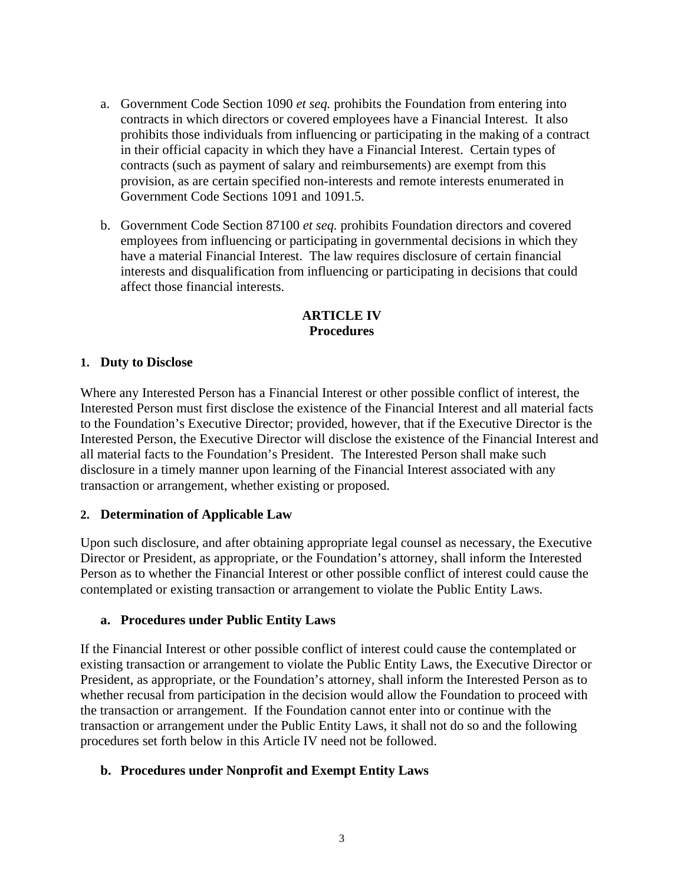- a. Government Code Section 1090 *et seq.* prohibits the Foundation from entering into contracts in which directors or covered employees have a Financial Interest. It also prohibits those individuals from influencing or participating in the making of a contract in their official capacity in which they have a Financial Interest. Certain types of contracts (such as payment of salary and reimbursements) are exempt from this provision, as are certain specified non-interests and remote interests enumerated in Government Code Sections 1091 and 1091.5.
- b. Government Code Section 87100 *et seq.* prohibits Foundation directors and covered employees from influencing or participating in governmental decisions in which they have a material Financial Interest. The law requires disclosure of certain financial interests and disqualification from influencing or participating in decisions that could affect those financial interests.

### **ARTICLE IV Procedures**

### **1. Duty to Disclose**

Where any Interested Person has a Financial Interest or other possible conflict of interest, the Interested Person must first disclose the existence of the Financial Interest and all material facts to the Foundation's Executive Director; provided, however, that if the Executive Director is the Interested Person, the Executive Director will disclose the existence of the Financial Interest and all material facts to the Foundation's President. The Interested Person shall make such disclosure in a timely manner upon learning of the Financial Interest associated with any transaction or arrangement, whether existing or proposed.

#### **2. Determination of Applicable Law**

Upon such disclosure, and after obtaining appropriate legal counsel as necessary, the Executive Director or President, as appropriate, or the Foundation's attorney, shall inform the Interested Person as to whether the Financial Interest or other possible conflict of interest could cause the contemplated or existing transaction or arrangement to violate the Public Entity Laws.

#### **a. Procedures under Public Entity Laws**

If the Financial Interest or other possible conflict of interest could cause the contemplated or existing transaction or arrangement to violate the Public Entity Laws, the Executive Director or President, as appropriate, or the Foundation's attorney, shall inform the Interested Person as to whether recusal from participation in the decision would allow the Foundation to proceed with the transaction or arrangement. If the Foundation cannot enter into or continue with the transaction or arrangement under the Public Entity Laws, it shall not do so and the following procedures set forth below in this Article IV need not be followed.

### **b. Procedures under Nonprofit and Exempt Entity Laws**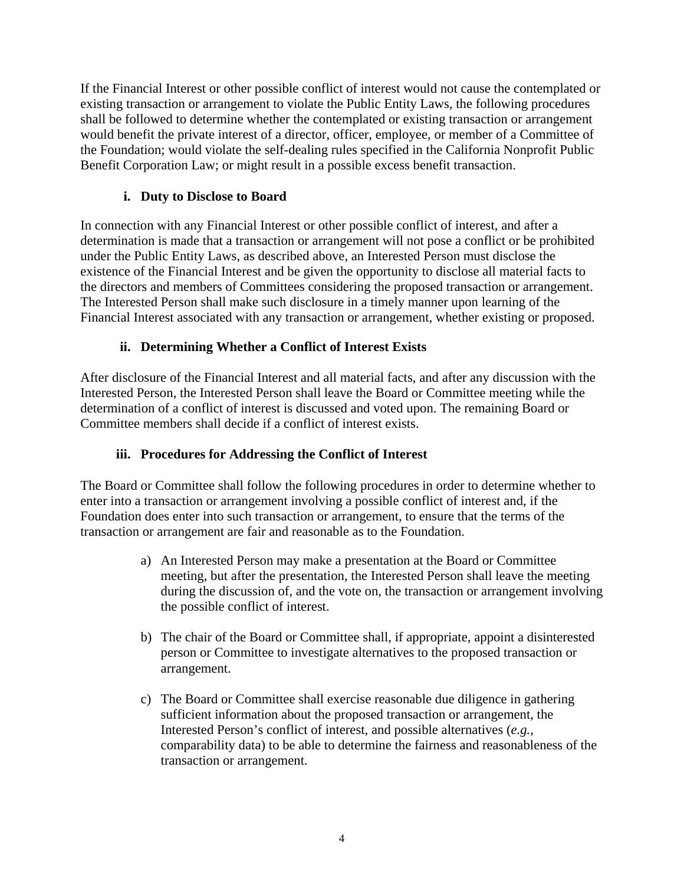If the Financial Interest or other possible conflict of interest would not cause the contemplated or existing transaction or arrangement to violate the Public Entity Laws, the following procedures shall be followed to determine whether the contemplated or existing transaction or arrangement would benefit the private interest of a director, officer, employee, or member of a Committee of the Foundation; would violate the self-dealing rules specified in the California Nonprofit Public Benefit Corporation Law; or might result in a possible excess benefit transaction.

# **i. Duty to Disclose to Board**

In connection with any Financial Interest or other possible conflict of interest, and after a determination is made that a transaction or arrangement will not pose a conflict or be prohibited under the Public Entity Laws, as described above, an Interested Person must disclose the existence of the Financial Interest and be given the opportunity to disclose all material facts to the directors and members of Committees considering the proposed transaction or arrangement. The Interested Person shall make such disclosure in a timely manner upon learning of the Financial Interest associated with any transaction or arrangement, whether existing or proposed.

# **ii. Determining Whether a Conflict of Interest Exists**

After disclosure of the Financial Interest and all material facts, and after any discussion with the Interested Person, the Interested Person shall leave the Board or Committee meeting while the determination of a conflict of interest is discussed and voted upon. The remaining Board or Committee members shall decide if a conflict of interest exists.

### **iii. Procedures for Addressing the Conflict of Interest**

The Board or Committee shall follow the following procedures in order to determine whether to enter into a transaction or arrangement involving a possible conflict of interest and, if the Foundation does enter into such transaction or arrangement, to ensure that the terms of the transaction or arrangement are fair and reasonable as to the Foundation.

- a) An Interested Person may make a presentation at the Board or Committee meeting, but after the presentation, the Interested Person shall leave the meeting during the discussion of, and the vote on, the transaction or arrangement involving the possible conflict of interest.
- b) The chair of the Board or Committee shall, if appropriate, appoint a disinterested person or Committee to investigate alternatives to the proposed transaction or arrangement.
- c) The Board or Committee shall exercise reasonable due diligence in gathering sufficient information about the proposed transaction or arrangement, the Interested Person's conflict of interest, and possible alternatives (*e.g.*, comparability data) to be able to determine the fairness and reasonableness of the transaction or arrangement.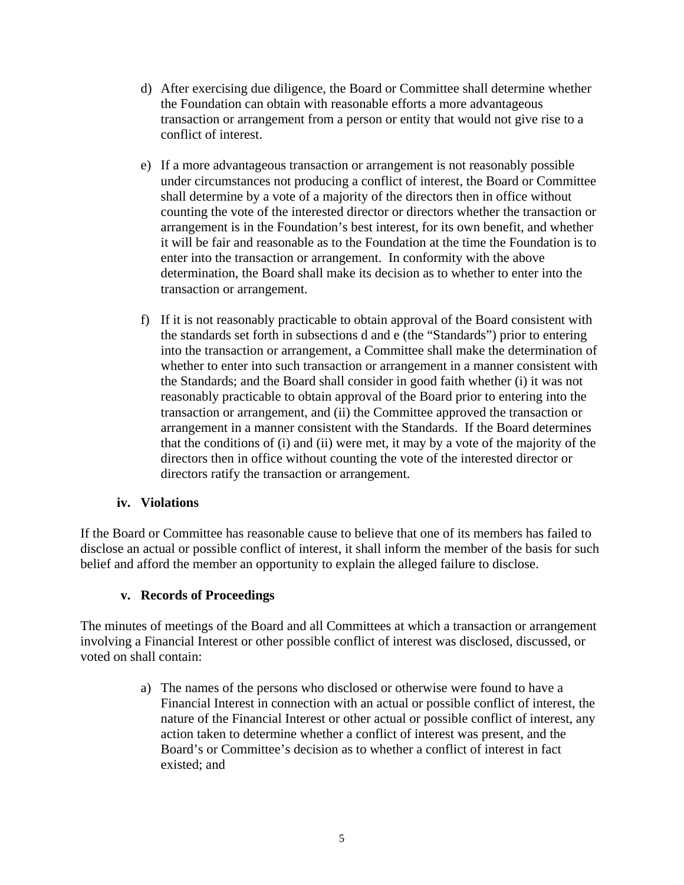- d) After exercising due diligence, the Board or Committee shall determine whether the Foundation can obtain with reasonable efforts a more advantageous transaction or arrangement from a person or entity that would not give rise to a conflict of interest.
- e) If a more advantageous transaction or arrangement is not reasonably possible under circumstances not producing a conflict of interest, the Board or Committee shall determine by a vote of a majority of the directors then in office without counting the vote of the interested director or directors whether the transaction or arrangement is in the Foundation's best interest, for its own benefit, and whether it will be fair and reasonable as to the Foundation at the time the Foundation is to enter into the transaction or arrangement. In conformity with the above determination, the Board shall make its decision as to whether to enter into the transaction or arrangement.
- f) If it is not reasonably practicable to obtain approval of the Board consistent with the standards set forth in subsections d and e (the "Standards") prior to entering into the transaction or arrangement, a Committee shall make the determination of whether to enter into such transaction or arrangement in a manner consistent with the Standards; and the Board shall consider in good faith whether (i) it was not reasonably practicable to obtain approval of the Board prior to entering into the transaction or arrangement, and (ii) the Committee approved the transaction or arrangement in a manner consistent with the Standards. If the Board determines that the conditions of (i) and (ii) were met, it may by a vote of the majority of the directors then in office without counting the vote of the interested director or directors ratify the transaction or arrangement.

### **iv. Violations**

If the Board or Committee has reasonable cause to believe that one of its members has failed to disclose an actual or possible conflict of interest, it shall inform the member of the basis for such belief and afford the member an opportunity to explain the alleged failure to disclose.

### **v. Records of Proceedings**

The minutes of meetings of the Board and all Committees at which a transaction or arrangement involving a Financial Interest or other possible conflict of interest was disclosed, discussed, or voted on shall contain:

> a) The names of the persons who disclosed or otherwise were found to have a Financial Interest in connection with an actual or possible conflict of interest, the nature of the Financial Interest or other actual or possible conflict of interest, any action taken to determine whether a conflict of interest was present, and the Board's or Committee's decision as to whether a conflict of interest in fact existed; and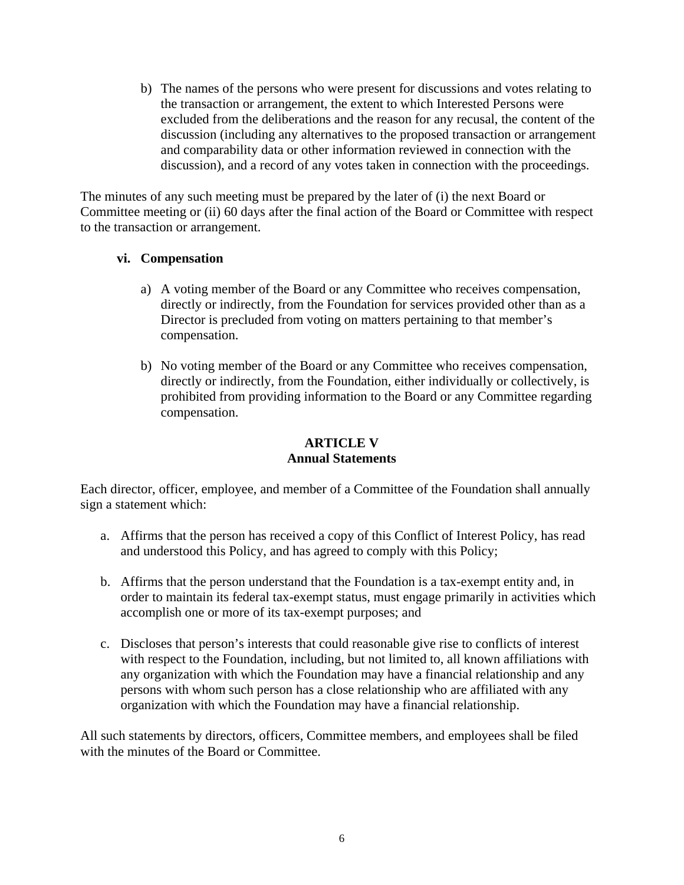b) The names of the persons who were present for discussions and votes relating to the transaction or arrangement, the extent to which Interested Persons were excluded from the deliberations and the reason for any recusal, the content of the discussion (including any alternatives to the proposed transaction or arrangement and comparability data or other information reviewed in connection with the discussion), and a record of any votes taken in connection with the proceedings.

The minutes of any such meeting must be prepared by the later of (i) the next Board or Committee meeting or (ii) 60 days after the final action of the Board or Committee with respect to the transaction or arrangement.

### **vi. Compensation**

- a) A voting member of the Board or any Committee who receives compensation, directly or indirectly, from the Foundation for services provided other than as a Director is precluded from voting on matters pertaining to that member's compensation.
- b) No voting member of the Board or any Committee who receives compensation, directly or indirectly, from the Foundation, either individually or collectively, is prohibited from providing information to the Board or any Committee regarding compensation.

### **ARTICLE V Annual Statements**

Each director, officer, employee, and member of a Committee of the Foundation shall annually sign a statement which:

- a. Affirms that the person has received a copy of this Conflict of Interest Policy, has read and understood this Policy, and has agreed to comply with this Policy;
- b. Affirms that the person understand that the Foundation is a tax-exempt entity and, in order to maintain its federal tax-exempt status, must engage primarily in activities which accomplish one or more of its tax-exempt purposes; and
- c. Discloses that person's interests that could reasonable give rise to conflicts of interest with respect to the Foundation, including, but not limited to, all known affiliations with any organization with which the Foundation may have a financial relationship and any persons with whom such person has a close relationship who are affiliated with any organization with which the Foundation may have a financial relationship.

All such statements by directors, officers, Committee members, and employees shall be filed with the minutes of the Board or Committee.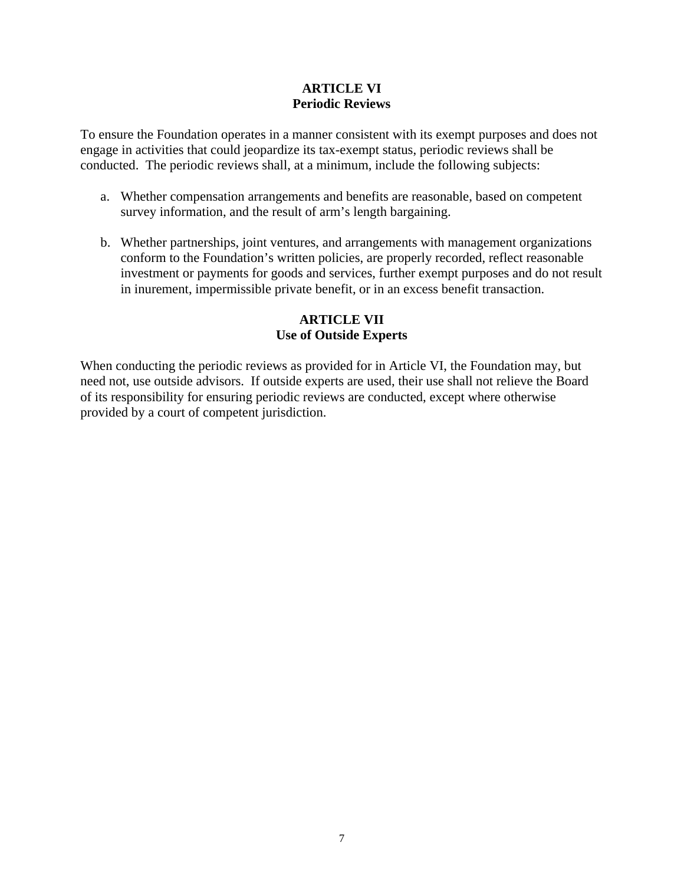### **ARTICLE VI Periodic Reviews**

To ensure the Foundation operates in a manner consistent with its exempt purposes and does not engage in activities that could jeopardize its tax-exempt status, periodic reviews shall be conducted. The periodic reviews shall, at a minimum, include the following subjects:

- a. Whether compensation arrangements and benefits are reasonable, based on competent survey information, and the result of arm's length bargaining.
- b. Whether partnerships, joint ventures, and arrangements with management organizations conform to the Foundation's written policies, are properly recorded, reflect reasonable investment or payments for goods and services, further exempt purposes and do not result in inurement, impermissible private benefit, or in an excess benefit transaction.

### **ARTICLE VII Use of Outside Experts**

When conducting the periodic reviews as provided for in Article VI, the Foundation may, but need not, use outside advisors. If outside experts are used, their use shall not relieve the Board of its responsibility for ensuring periodic reviews are conducted, except where otherwise provided by a court of competent jurisdiction.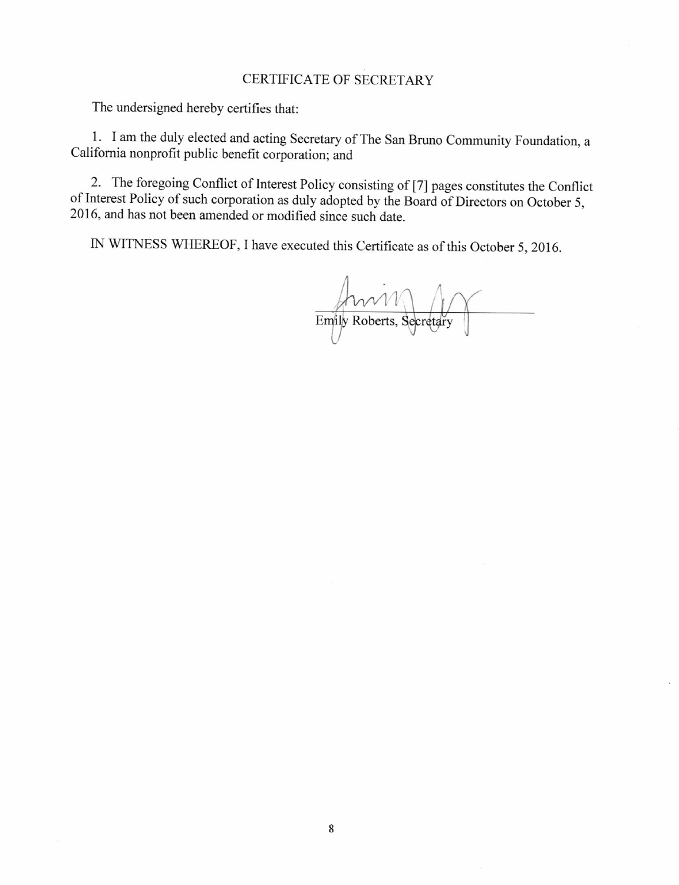#### **CERTIFICATE OF SECRETARY**

The undersigned hereby certifies that:

1. I am the duly elected and acting Secretary of The San Bruno Community Foundation, a California nonprofit public benefit corporation; and

2. The foregoing Conflict of Interest Policy consisting of [7] pages constitutes the Conflict of Interest Policy of such corporation as duly adopted by the Board of Directors on October 5, 2016, and has not been amended or modified since such date.

IN WITNESS WHEREOF, I have executed this Certificate as of this October 5, 2016.

Emily Roberts, Secretary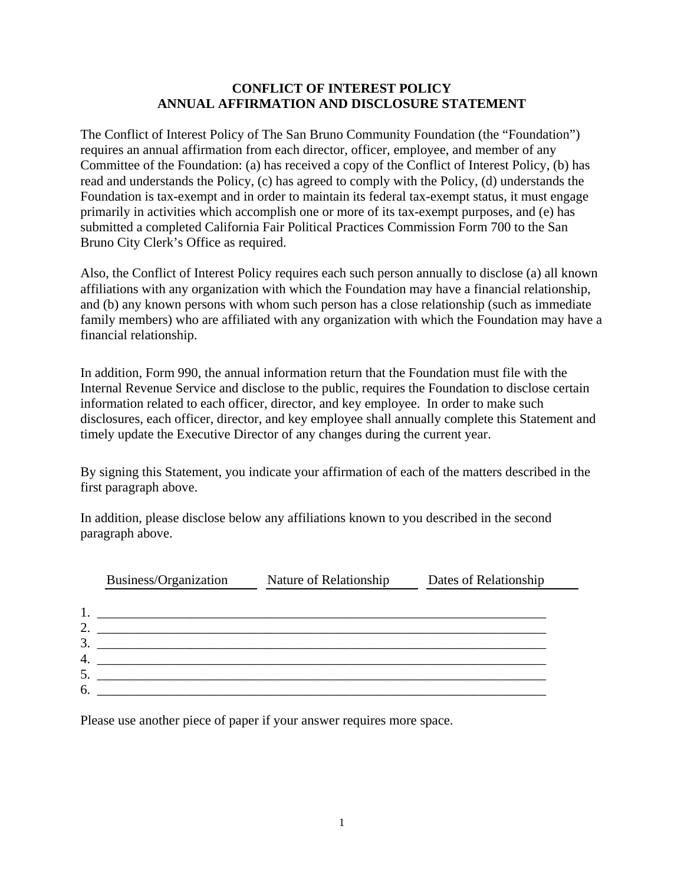#### **CONFLICT OF INTEREST POLICY ANNUAL AFFIRMATION AND DISCLOSURE STATEMENT**

The Conflict of Interest Policy of The San Bruno Community Foundation (the "Foundation") requires an annual affirmation from each director, officer, employee, and member of any Committee of the Foundation: (a) has received a copy of the Conflict of Interest Policy, (b) has read and understands the Policy, (c) has agreed to comply with the Policy, (d) understands the Foundation is tax-exempt and in order to maintain its federal tax-exempt status, it must engage primarily in activities which accomplish one or more of its tax-exempt purposes, and (e) has submitted a completed California Fair Political Practices Commission Form 700 to the San Bruno City Clerk's Office as required.

Also, the Conflict of Interest Policy requires each such person annually to disclose (a) all known affiliations with any organization with which the Foundation may have a financial relationship, and (b) any known persons with whom such person has a close relationship (such as immediate family members) who are affiliated with any organization with which the Foundation may have a financial relationship.

In addition, Form 990, the annual information return that the Foundation must file with the Internal Revenue Service and disclose to the public, requires the Foundation to disclose certain information related to each officer, director, and key employee. In order to make such disclosures, each officer, director, and key employee shall annually complete this Statement and timely update the Executive Director of any changes during the current year.

By signing this Statement, you indicate your affirmation of each of the matters described in the first paragraph above.

In addition, please disclose below any affiliations known to you described in the second paragraph above.

|                     | Business/Organization | Nature of Relationship | Dates of Relationship |
|---------------------|-----------------------|------------------------|-----------------------|
|                     |                       |                        |                       |
|                     |                       |                        |                       |
| $\overline{2}$<br>3 |                       |                        |                       |
| $\overline{4}$ .    |                       |                        |                       |
| 5                   |                       |                        |                       |
| 6.                  |                       |                        |                       |

Please use another piece of paper if your answer requires more space.